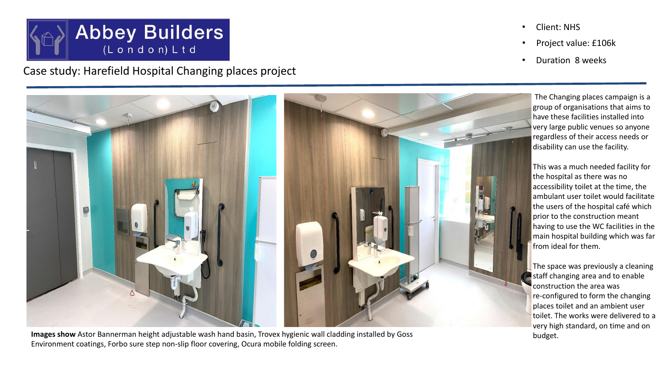

Case study: Harefield Hospital Changing places project

- Client: NHS
- Project value: £106k
- Duration 8 weeks

 The Changing places campaign is a group of organisations that aims to have these facilities installed into very large public venues so anyone regardless of their access needs or disability can use the facility.

This was a much needed facility for the hospital as there was no accessibility toilet at the time, the ambulant user toilet would facilitate the users of the hospital café which prior to the construction meant having to use the WC facilities in the main hospital building which was far from ideal for them.

The space was previously a cleaning staff changing area and to enable construction the area was re-configured to form the changing places toilet and an ambient user toilet. The works were delivered to a very high standard, on time and on



Images show Astor Bannerman height adjustable wash hand basin, Trovex hygienic wall cladding installed by Goss budget. Environment coatings, Forbo sure step non-slip floor covering, Ocura mobile folding screen.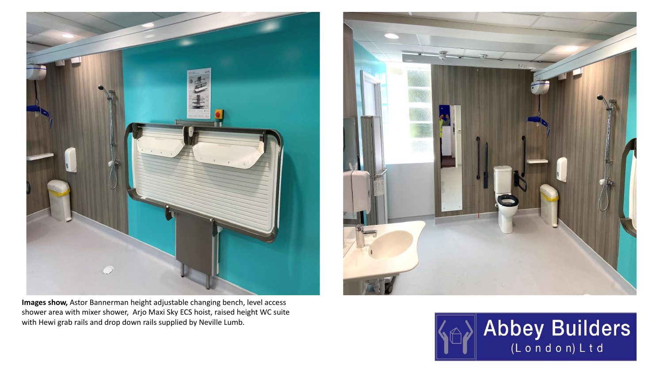

**Images show,** Astor Bannerman height adjustable changing bench, level access shower area with mixer shower, Arjo Maxi Sky ECS hoist, raised height WC suite with Hewi grab rails and drop down rails supplied by Neville Lumb.